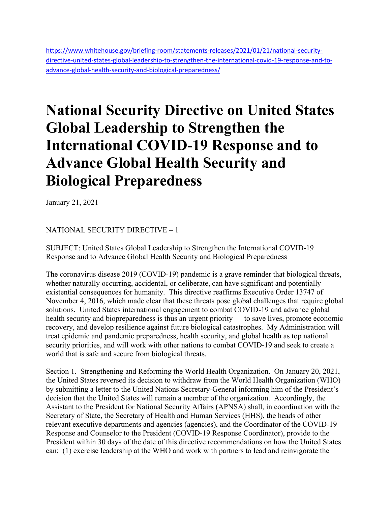https://www.whitehouse.gov/briefing‐room/statements‐releases/2021/01/21/national‐security‐ directive-united-states-global-leadership-to-strengthen-the-international-covid-19-response-and-toadvance‐global‐health‐security‐and‐biological‐preparedness/

## **National Security Directive on United States Global Leadership to Strengthen the International COVID-19 Response and to Advance Global Health Security and Biological Preparedness**

January 21, 2021

## NATIONAL SECURITY DIRECTIVE – 1

SUBJECT: United States Global Leadership to Strengthen the International COVID-19 Response and to Advance Global Health Security and Biological Preparedness

The coronavirus disease 2019 (COVID-19) pandemic is a grave reminder that biological threats, whether naturally occurring, accidental, or deliberate, can have significant and potentially existential consequences for humanity. This directive reaffirms Executive Order 13747 of November 4, 2016, which made clear that these threats pose global challenges that require global solutions. United States international engagement to combat COVID-19 and advance global health security and biopreparedness is thus an urgent priority — to save lives, promote economic recovery, and develop resilience against future biological catastrophes. My Administration will treat epidemic and pandemic preparedness, health security, and global health as top national security priorities, and will work with other nations to combat COVID-19 and seek to create a world that is safe and secure from biological threats.

Section 1. Strengthening and Reforming the World Health Organization. On January 20, 2021, the United States reversed its decision to withdraw from the World Health Organization (WHO) by submitting a letter to the United Nations Secretary-General informing him of the President's decision that the United States will remain a member of the organization. Accordingly, the Assistant to the President for National Security Affairs (APNSA) shall, in coordination with the Secretary of State, the Secretary of Health and Human Services (HHS), the heads of other relevant executive departments and agencies (agencies), and the Coordinator of the COVID-19 Response and Counselor to the President (COVID-19 Response Coordinator), provide to the President within 30 days of the date of this directive recommendations on how the United States can: (1) exercise leadership at the WHO and work with partners to lead and reinvigorate the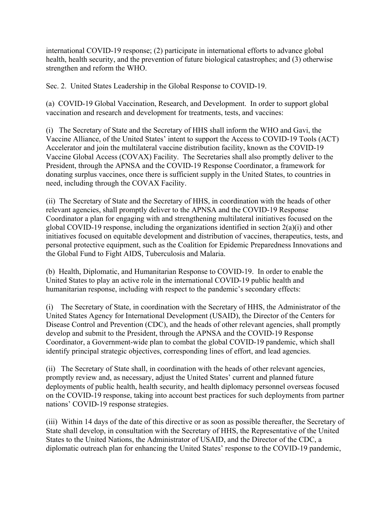international COVID-19 response; (2) participate in international efforts to advance global health, health security, and the prevention of future biological catastrophes; and (3) otherwise strengthen and reform the WHO.

Sec. 2. United States Leadership in the Global Response to COVID-19.

(a) COVID-19 Global Vaccination, Research, and Development. In order to support global vaccination and research and development for treatments, tests, and vaccines:

(i) The Secretary of State and the Secretary of HHS shall inform the WHO and Gavi, the Vaccine Alliance, of the United States' intent to support the Access to COVID-19 Tools (ACT) Accelerator and join the multilateral vaccine distribution facility, known as the COVID-19 Vaccine Global Access (COVAX) Facility. The Secretaries shall also promptly deliver to the President, through the APNSA and the COVID-19 Response Coordinator, a framework for donating surplus vaccines, once there is sufficient supply in the United States, to countries in need, including through the COVAX Facility.

(ii) The Secretary of State and the Secretary of HHS, in coordination with the heads of other relevant agencies, shall promptly deliver to the APNSA and the COVID-19 Response Coordinator a plan for engaging with and strengthening multilateral initiatives focused on the global COVID-19 response, including the organizations identified in section 2(a)(i) and other initiatives focused on equitable development and distribution of vaccines, therapeutics, tests, and personal protective equipment, such as the Coalition for Epidemic Preparedness Innovations and the Global Fund to Fight AIDS, Tuberculosis and Malaria.

(b) Health, Diplomatic, and Humanitarian Response to COVID-19. In order to enable the United States to play an active role in the international COVID-19 public health and humanitarian response, including with respect to the pandemic's secondary effects:

(i) The Secretary of State, in coordination with the Secretary of HHS, the Administrator of the United States Agency for International Development (USAID), the Director of the Centers for Disease Control and Prevention (CDC), and the heads of other relevant agencies, shall promptly develop and submit to the President, through the APNSA and the COVID-19 Response Coordinator, a Government-wide plan to combat the global COVID-19 pandemic, which shall identify principal strategic objectives, corresponding lines of effort, and lead agencies.

(ii) The Secretary of State shall, in coordination with the heads of other relevant agencies, promptly review and, as necessary, adjust the United States' current and planned future deployments of public health, health security, and health diplomacy personnel overseas focused on the COVID-19 response, taking into account best practices for such deployments from partner nations' COVID-19 response strategies.

(iii) Within 14 days of the date of this directive or as soon as possible thereafter, the Secretary of State shall develop, in consultation with the Secretary of HHS, the Representative of the United States to the United Nations, the Administrator of USAID, and the Director of the CDC, a diplomatic outreach plan for enhancing the United States' response to the COVID-19 pandemic,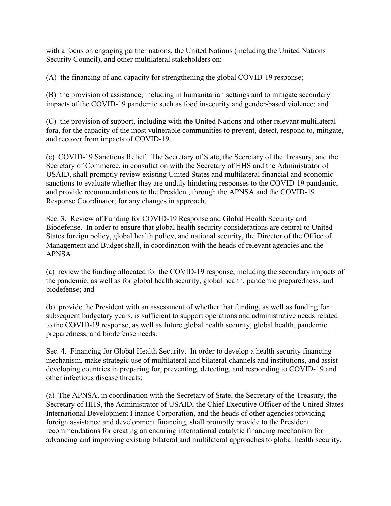with a focus on engaging partner nations, the United Nations (including the United Nations Security Council), and other multilateral stakeholders on:

(A) the financing of and capacity for strengthening the global COVID-19 response;

(B) the provision of assistance, including in humanitarian settings and to mitigate secondary impacts of the COVID-19 pandemic such as food insecurity and gender-based violence; and

(C) the provision of support, including with the United Nations and other relevant multilateral fora, for the capacity of the most vulnerable communities to prevent, detect, respond to, mitigate, and recover from impacts of COVID-19.

(c) COVID-19 Sanctions Relief.The Secretary of State, the Secretary of the Treasury, and the Secretary of Commerce, in consultation with the Secretary of HHS and the Administrator of USAID, shall promptly review existing United States and multilateral financial and economic sanctions to evaluate whether they are unduly hindering responses to the COVID-19 pandemic, and provide recommendations to the President, through the APNSA and the COVID-19 Response Coordinator, for any changes in approach.

Sec. 3. Review of Funding for COVID-19 Response and Global Health Security and Biodefense. In order to ensure that global health security considerations are central to United States foreign policy, global health policy, and national security, the Director of the Office of Management and Budget shall, in coordination with the heads of relevant agencies and the APNSA:

(a) review the funding allocated for the COVID-19 response, including the secondary impacts of the pandemic, as well as for global health security, global health, pandemic preparedness, and biodefense; and

(b) provide the President with an assessment of whether that funding, as well as funding for subsequent budgetary years, is sufficient to support operations and administrative needs related to the COVID-19 response, as well as future global health security, global health, pandemic preparedness, and biodefense needs.

Sec. 4. Financing for Global Health Security.In order to develop a health security financing mechanism, make strategic use of multilateral and bilateral channels and institutions, and assist developing countries in preparing for, preventing, detecting, and responding to COVID-19 and other infectious disease threats:

(a) The APNSA, in coordination with the Secretary of State, the Secretary of the Treasury, the Secretary of HHS, the Administrator of USAID, the Chief Executive Officer of the United States International Development Finance Corporation, and the heads of other agencies providing foreign assistance and development financing, shall promptly provide to the President recommendations for creating an enduring international catalytic financing mechanism for advancing and improving existing bilateral and multilateral approaches to global health security.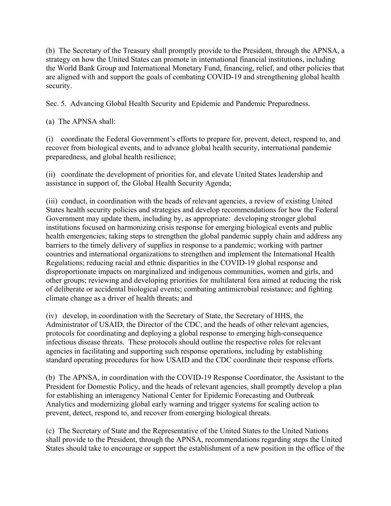(b) The Secretary of the Treasury shall promptly provide to the President, through the APNSA, a strategy on how the United States can promote in international financial institutions, including the World Bank Group and International Monetary Fund, financing, relief, and other policies that are aligned with and support the goals of combating COVID-19 and strengthening global health security.

Sec. 5. Advancing Global Health Security and Epidemic and Pandemic Preparedness.

(a) The APNSA shall:

(i) coordinate the Federal Government's efforts to prepare for, prevent, detect, respond to, and recover from biological events, and to advance global health security, international pandemic preparedness, and global health resilience;

(ii) coordinate the development of priorities for, and elevate United States leadership and assistance in support of, the Global Health Security Agenda;

(iii) conduct, in coordination with the heads of relevant agencies, a review of existing United States health security policies and strategies and develop recommendations for how the Federal Government may update them, including by, as appropriate: developing stronger global institutions focused on harmonizing crisis response for emerging biological events and public health emergencies; taking steps to strengthen the global pandemic supply chain and address any barriers to the timely delivery of supplies in response to a pandemic; working with partner countries and international organizations to strengthen and implement the International Health Regulations; reducing racial and ethnic disparities in the COVID-19 global response and disproportionate impacts on marginalized and indigenous communities, women and girls, and other groups; reviewing and developing priorities for multilateral fora aimed at reducing the risk of deliberate or accidental biological events; combating antimicrobial resistance; and fighting climate change as a driver of health threats; and

(iv) develop, in coordination with the Secretary of State, the Secretary of HHS, the Administrator of USAID, the Director of the CDC, and the heads of other relevant agencies, protocols for coordinating and deploying a global response to emerging high-consequence infectious disease threats. These protocols should outline the respective roles for relevant agencies in facilitating and supporting such response operations, including by establishing standard operating procedures for how USAID and the CDC coordinate their response efforts.

(b) The APNSA, in coordination with the COVID-19 Response Coordinator, the Assistant to the President for Domestic Policy, and the heads of relevant agencies, shall promptly develop a plan for establishing an interagency National Center for Epidemic Forecasting and Outbreak Analytics and modernizing global early warning and trigger systems for scaling action to prevent, detect, respond to, and recover from emerging biological threats.

(c) The Secretary of State and the Representative of the United States to the United Nations shall provide to the President, through the APNSA, recommendations regarding steps the United States should take to encourage or support the establishment of a new position in the office of the